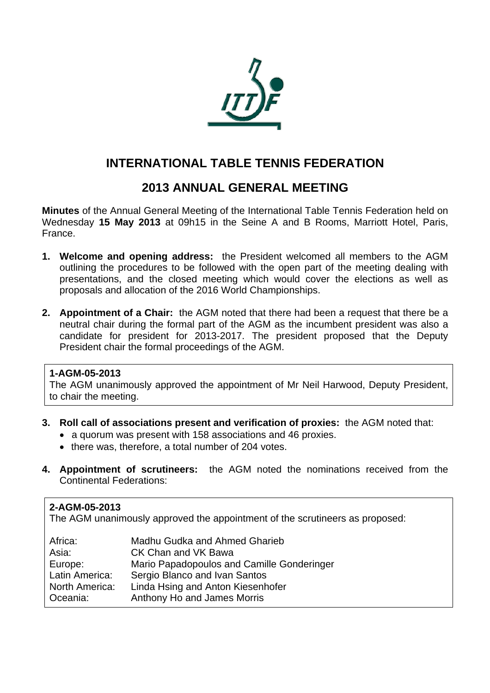

# **INTERNATIONAL TABLE TENNIS FEDERATION**

## **2013 ANNUAL GENERAL MEETING**

**Minutes** of the Annual General Meeting of the International Table Tennis Federation held on Wednesday **15 May 2013** at 09h15 in the Seine A and B Rooms, Marriott Hotel, Paris, France.

- **1. Welcome and opening address:** the President welcomed all members to the AGM outlining the procedures to be followed with the open part of the meeting dealing with presentations, and the closed meeting which would cover the elections as well as proposals and allocation of the 2016 World Championships.
- **2. Appointment of a Chair:** the AGM noted that there had been a request that there be a neutral chair during the formal part of the AGM as the incumbent president was also a candidate for president for 2013-2017. The president proposed that the Deputy President chair the formal proceedings of the AGM.

#### **1-AGM-05-2013**

The AGM unanimously approved the appointment of Mr Neil Harwood, Deputy President, to chair the meeting.

- **3. Roll call of associations present and verification of proxies:** the AGM noted that:
	- a quorum was present with 158 associations and 46 proxies.
	- there was, therefore, a total number of 204 votes.
- **4. Appointment of scrutineers:** the AGM noted the nominations received from the Continental Federations:

## **2-AGM-05-2013**

The AGM unanimously approved the appointment of the scrutineers as proposed:

| Africa:        | Madhu Gudka and Ahmed Gharieb              |
|----------------|--------------------------------------------|
| Asia:          | CK Chan and VK Bawa                        |
| Europe:        | Mario Papadopoulos and Camille Gonderinger |
| Latin America: | Sergio Blanco and Ivan Santos              |
| North America: | Linda Hsing and Anton Kiesenhofer          |
| Oceania:       | Anthony Ho and James Morris                |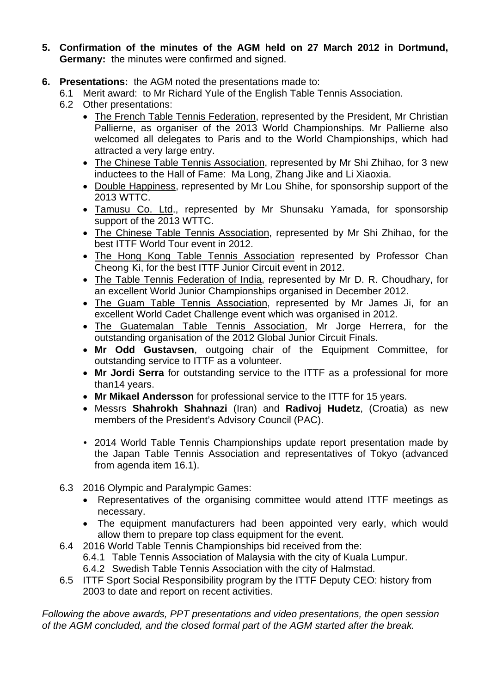- **5. Confirmation of the minutes of the AGM held on 27 March 2012 in Dortmund, Germany:** the minutes were confirmed and signed.
- **6. Presentations:** the AGM noted the presentations made to:
	- 6.1 Merit award: to Mr Richard Yule of the English Table Tennis Association.
	- 6.2 Other presentations:
		- The French Table Tennis Federation, represented by the President, Mr Christian Pallierne, as organiser of the 2013 World Championships. Mr Pallierne also welcomed all delegates to Paris and to the World Championships, which had attracted a very large entry.
		- The Chinese Table Tennis Association, represented by Mr Shi Zhihao, for 3 new inductees to the Hall of Fame: Ma Long, Zhang Jike and Li Xiaoxia.
		- Double Happiness, represented by Mr Lou Shihe, for sponsorship support of the 2013 WTTC.
		- Tamusu Co. Ltd., represented by Mr Shunsaku Yamada, for sponsorship support of the 2013 WTTC.
		- The Chinese Table Tennis Association, represented by Mr Shi Zhihao, for the best ITTF World Tour event in 2012.
		- The Hong Kong Table Tennis Association represented by Professor Chan Cheong Ki, for the best ITTF Junior Circuit event in 2012.
		- The Table Tennis Federation of India, represented by Mr D. R. Choudhary, for an excellent World Junior Championships organised in December 2012.
		- The Guam Table Tennis Association, represented by Mr James Ji, for an excellent World Cadet Challenge event which was organised in 2012.
		- The Guatemalan Table Tennis Association, Mr Jorge Herrera, for the outstanding organisation of the 2012 Global Junior Circuit Finals.
		- **Mr Odd Gustavsen**, outgoing chair of the Equipment Committee, for outstanding service to ITTF as a volunteer.
		- **Mr Jordi Serra** for outstanding service to the ITTF as a professional for more than14 years.
		- **Mr Mikael Andersson** for professional service to the ITTF for 15 years.
		- Messrs **Shahrokh Shahnazi** (Iran) and **Radivoj Hudetz**, (Croatia) as new members of the President's Advisory Council (PAC).
		- 2014 World Table Tennis Championships update report presentation made by the Japan Table Tennis Association and representatives of Tokyo (advanced from agenda item 16.1).
	- 6.3 2016 Olympic and Paralympic Games:
		- Representatives of the organising committee would attend ITTF meetings as necessary.
		- The equipment manufacturers had been appointed very early, which would allow them to prepare top class equipment for the event.
	- 6.4 2016 World Table Tennis Championships bid received from the:
		- 6.4.1 Table Tennis Association of Malaysia with the city of Kuala Lumpur.
		- 6.4.2 Swedish Table Tennis Association with the city of Halmstad.
	- 6.5 ITTF Sport Social Responsibility program by the ITTF Deputy CEO: history from 2003 to date and report on recent activities.

*Following the above awards, PPT presentations and video presentations, the open session of the AGM concluded, and the closed formal part of the AGM started after the break.*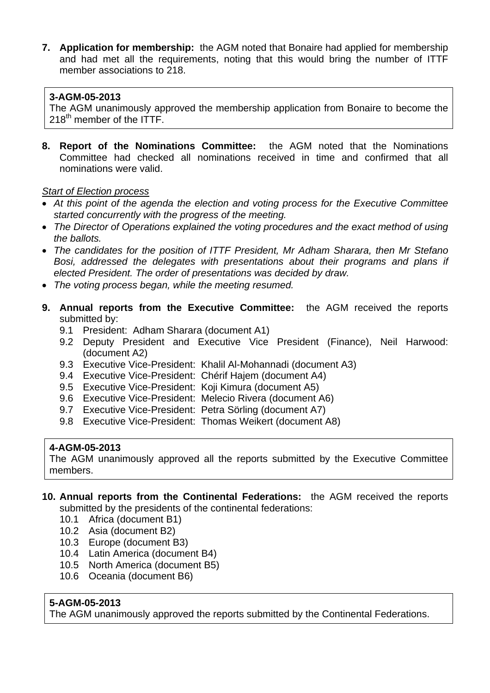**7. Application for membership:** the AGM noted that Bonaire had applied for membership and had met all the requirements, noting that this would bring the number of ITTF member associations to 218.

#### **3-AGM-05-2013**

The AGM unanimously approved the membership application from Bonaire to become the 218<sup>th</sup> member of the ITTF.

**8. Report of the Nominations Committee:** the AGM noted that the Nominations Committee had checked all nominations received in time and confirmed that all nominations were valid.

#### *Start of Election process*

- *At this point of the agenda the election and voting process for the Executive Committee started concurrently with the progress of the meeting.*
- *The Director of Operations explained the voting procedures and the exact method of using the ballots.*
- *The candidates for the position of ITTF President, Mr Adham Sharara, then Mr Stefano Bosi, addressed the delegates with presentations about their programs and plans if elected President. The order of presentations was decided by draw.*
- *The voting process began, while the meeting resumed.*
- **9. Annual reports from the Executive Committee:** the AGM received the reports submitted by:
	- 9.1 President: Adham Sharara (document A1)
	- 9.2 Deputy President and Executive Vice President (Finance), Neil Harwood: (document A2)
	- 9.3 Executive Vice-President: Khalil Al-Mohannadi (document A3)
	- 9.4 Executive Vice-President: Chérif Hajem (document A4)
	- 9.5 Executive Vice-President: Koji Kimura (document A5)
	- 9.6 Executive Vice-President: Melecio Rivera (document A6)
	- 9.7 Executive Vice-President: Petra Sörling (document A7)
	- 9.8 Executive Vice-President: Thomas Weikert (document A8)

## **4-AGM-05-2013**

The AGM unanimously approved all the reports submitted by the Executive Committee members.

- **10. Annual reports from the Continental Federations:** the AGM received the reports submitted by the presidents of the continental federations:
	- 10.1 Africa (document B1)
	- 10.2 Asia (document B2)
	- 10.3 Europe (document B3)
	- 10.4 Latin America (document B4)
	- 10.5 North America (document B5)
	- 10.6 Oceania (document B6)

## **5-AGM-05-2013**

The AGM unanimously approved the reports submitted by the Continental Federations.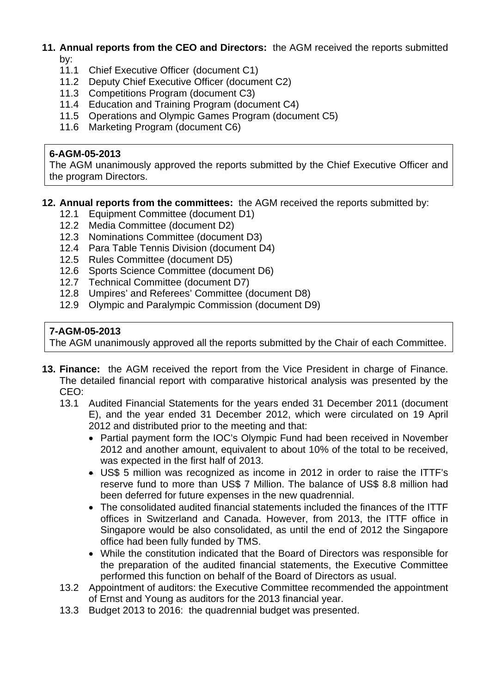#### **11. Annual reports from the CEO and Directors:** the AGM received the reports submitted by:

- 11.1 Chief Executive Officer (document C1)
- 11.2 Deputy Chief Executive Officer (document C2)
- 11.3 Competitions Program (document C3)
- 11.4 Education and Training Program (document C4)
- 11.5 Operations and Olympic Games Program (document C5)
- 11.6 Marketing Program (document C6)

#### **6-AGM-05-2013**

The AGM unanimously approved the reports submitted by the Chief Executive Officer and the program Directors.

#### **12. Annual reports from the committees:** the AGM received the reports submitted by:

- 12.1 Equipment Committee (document D1)
- 12.2 Media Committee (document D2)
- 12.3 Nominations Committee (document D3)
- 12.4 Para Table Tennis Division (document D4)
- 12.5 Rules Committee (document D5)
- 12.6 Sports Science Committee (document D6)
- 12.7 Technical Committee (document D7)
- 12.8 Umpires' and Referees' Committee (document D8)
- 12.9 Olympic and Paralympic Commission (document D9)

## **7-AGM-05-2013**

The AGM unanimously approved all the reports submitted by the Chair of each Committee.

- **13. Finance:** the AGM received the report from the Vice President in charge of Finance. The detailed financial report with comparative historical analysis was presented by the CEO:
	- 13.1 Audited Financial Statements for the years ended 31 December 2011 (document E), and the year ended 31 December 2012, which were circulated on 19 April 2012 and distributed prior to the meeting and that:
		- Partial payment form the IOC's Olympic Fund had been received in November 2012 and another amount, equivalent to about 10% of the total to be received, was expected in the first half of 2013.
		- US\$ 5 million was recognized as income in 2012 in order to raise the ITTF's reserve fund to more than US\$ 7 Million. The balance of US\$ 8.8 million had been deferred for future expenses in the new quadrennial.
		- The consolidated audited financial statements included the finances of the ITTF offices in Switzerland and Canada. However, from 2013, the ITTF office in Singapore would be also consolidated, as until the end of 2012 the Singapore office had been fully funded by TMS.
		- While the constitution indicated that the Board of Directors was responsible for the preparation of the audited financial statements, the Executive Committee performed this function on behalf of the Board of Directors as usual.
	- 13.2 Appointment of auditors: the Executive Committee recommended the appointment of Ernst and Young as auditors for the 2013 financial year.
	- 13.3 Budget 2013 to 2016: the quadrennial budget was presented.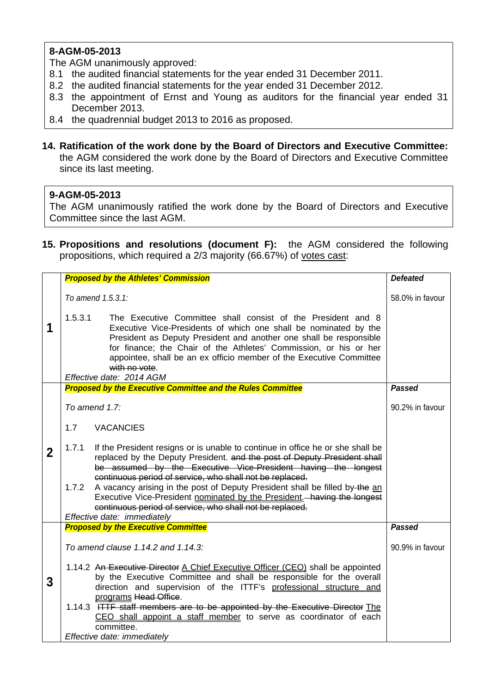## **8-AGM-05-2013**

The AGM unanimously approved:

- 8.1 the audited financial statements for the year ended 31 December 2011.
- 8.2 the audited financial statements for the year ended 31 December 2012.
- 8.3 the appointment of Ernst and Young as auditors for the financial year ended 31 December 2013.
- 8.4 the quadrennial budget 2013 to 2016 as proposed.
- **14. Ratification of the work done by the Board of Directors and Executive Committee:** the AGM considered the work done by the Board of Directors and Executive Committee since its last meeting.

#### **9-AGM-05-2013**

The AGM unanimously ratified the work done by the Board of Directors and Executive Committee since the last AGM.

**15. Propositions and resolutions (document F):** the AGM considered the following propositions, which required a 2/3 majority (66.67%) of votes cast:

|             | <b>Proposed by the Athletes' Commission</b>                                                                                                                                                                                                                                                                                                                                                                | <b>Defeated</b> |
|-------------|------------------------------------------------------------------------------------------------------------------------------------------------------------------------------------------------------------------------------------------------------------------------------------------------------------------------------------------------------------------------------------------------------------|-----------------|
|             | To amend 1.5.3.1:                                                                                                                                                                                                                                                                                                                                                                                          | 58.0% in favour |
| 1           | 1.5.3.1<br>The Executive Committee shall consist of the President and 8<br>Executive Vice-Presidents of which one shall be nominated by the<br>President as Deputy President and another one shall be responsible<br>for finance; the Chair of the Athletes' Commission, or his or her<br>appointee, shall be an ex officio member of the Executive Committee<br>with no vote.<br>Effective date: 2014 AGM |                 |
|             | <b>Proposed by the Executive Committee and the Rules Committee</b>                                                                                                                                                                                                                                                                                                                                         | <b>Passed</b>   |
|             | To amend $1.7$ :                                                                                                                                                                                                                                                                                                                                                                                           | 90.2% in favour |
|             | 1.7<br><b>VACANCIES</b>                                                                                                                                                                                                                                                                                                                                                                                    |                 |
| $\mathbf 2$ | 1.7.1<br>If the President resigns or is unable to continue in office he or she shall be<br>replaced by the Deputy President. and the post of Deputy President shall                                                                                                                                                                                                                                        |                 |
|             | be assumed by the Executive Vice-President having the longest<br>continuous period of service, who shall not be replaced.<br>A vacancy arising in the post of Deputy President shall be filled by the an<br>1.7.2<br>Executive Vice-President nominated by the President. - having the longest<br>continuous period of service, who shall not be replaced.                                                 |                 |
|             | Effective date: immediately                                                                                                                                                                                                                                                                                                                                                                                |                 |
|             | <b>Proposed by the Executive Committee</b>                                                                                                                                                                                                                                                                                                                                                                 | <b>Passed</b>   |
|             | To amend clause 1.14.2 and 1.14.3:                                                                                                                                                                                                                                                                                                                                                                         | 90.9% in favour |
| 3           | 1.14.2 An Executive Director A Chief Executive Officer (CEO) shall be appointed<br>by the Executive Committee and shall be responsible for the overall                                                                                                                                                                                                                                                     |                 |
|             | direction and supervision of the ITTF's professional structure and<br>programs Head Office.                                                                                                                                                                                                                                                                                                                |                 |
|             | 1.14.3 HTTF staff members are to be appointed by the Executive Director The                                                                                                                                                                                                                                                                                                                                |                 |
|             | CEO shall appoint a staff member to serve as coordinator of each<br>committee.                                                                                                                                                                                                                                                                                                                             |                 |
|             | Effective date: immediately                                                                                                                                                                                                                                                                                                                                                                                |                 |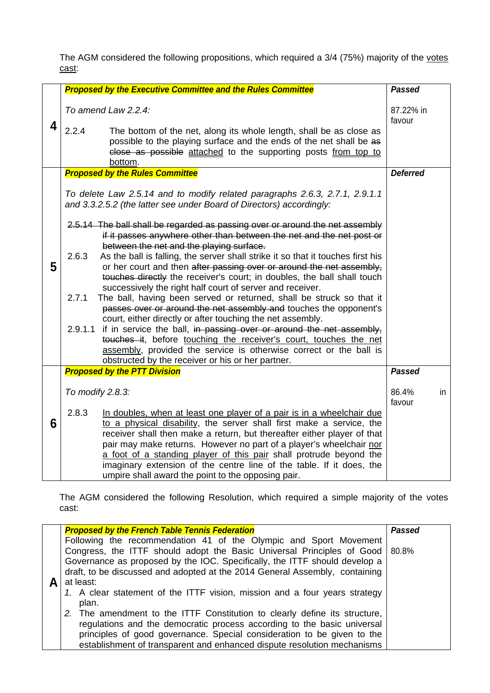The AGM considered the following propositions, which required a 3/4 (75%) majority of the votes cast:

|   | <b>Proposed by the Executive Committee and the Rules Committee</b>                                                                                                                                                                                                                                       | <b>Passed</b>         |
|---|----------------------------------------------------------------------------------------------------------------------------------------------------------------------------------------------------------------------------------------------------------------------------------------------------------|-----------------------|
| 4 | To amend Law 2.2.4:<br>2.2.4<br>The bottom of the net, along its whole length, shall be as close as<br>possible to the playing surface and the ends of the net shall be as<br>close as possible attached to the supporting posts from top to<br>bottom.                                                  | 87.22% in<br>favour   |
|   | <b>Proposed by the Rules Committee</b>                                                                                                                                                                                                                                                                   | <b>Deferred</b>       |
|   | To delete Law 2.5.14 and to modify related paragraphs 2.6.3, 2.7.1, 2.9.1.1<br>and 3.3.2.5.2 (the latter see under Board of Directors) accordingly:                                                                                                                                                      |                       |
|   | 2.5.14 The ball shall be regarded as passing over or around the net assembly<br>if it passes anywhere other than between the net and the net post or<br>between the net and the playing surface.                                                                                                         |                       |
| 5 | 2.6.3<br>As the ball is falling, the server shall strike it so that it touches first his<br>or her court and then after passing over or around the net assembly,<br>touches directly the receiver's court; in doubles, the ball shall touch<br>successively the right half court of server and receiver. |                       |
|   | The ball, having been served or returned, shall be struck so that it<br>2.7.1<br>passes over or around the net assembly and touches the opponent's<br>court, either directly or after touching the net assembly.                                                                                         |                       |
|   | 2.9.1.1 if in service the ball, in passing over or around the net assembly,<br>touches it, before touching the receiver's court, touches the net                                                                                                                                                         |                       |
|   | assembly, provided the service is otherwise correct or the ball is<br>obstructed by the receiver or his or her partner.                                                                                                                                                                                  |                       |
|   | <b>Proposed by the PTT Division</b>                                                                                                                                                                                                                                                                      | <b>Passed</b>         |
|   | To modify 2.8.3:                                                                                                                                                                                                                                                                                         | 86.4%<br>in<br>favour |
| 6 | 2.8.3<br>In doubles, when at least one player of a pair is in a wheelchair due<br>to a physical disability, the server shall first make a service, the<br>receiver shall then make a return, but thereafter either player of that                                                                        |                       |
|   | pair may make returns. However no part of a player's wheelchair nor<br>a foot of a standing player of this pair shall protrude beyond the<br>imaginary extension of the centre line of the table. If it does, the                                                                                        |                       |
|   | umpire shall award the point to the opposing pair.                                                                                                                                                                                                                                                       |                       |

The AGM considered the following Resolution, which required a simple majority of the votes cast:

| <b>Proposed by the French Table Tennis Federation</b>                        | <b>Passed</b> |
|------------------------------------------------------------------------------|---------------|
|                                                                              |               |
| Following the recommendation 41 of the Olympic and Sport Movement            |               |
|                                                                              |               |
| Congress, the ITTF should adopt the Basic Universal Principles of Good 80.8% |               |
|                                                                              |               |
| Governance as proposed by the IOC. Specifically, the ITTF should develop a   |               |
|                                                                              |               |
| draft, to be discussed and adopted at the 2014 General Assembly, containing  |               |
| at least:                                                                    |               |
|                                                                              |               |
| 1. A clear statement of the ITTF vision, mission and a four years strategy   |               |
|                                                                              |               |
| plan.                                                                        |               |
|                                                                              |               |
| 2. The amendment to the ITTF Constitution to clearly define its structure,   |               |
|                                                                              |               |
| regulations and the democratic process according to the basic universal      |               |
| principles of good governance. Special consideration to be given to the      |               |
|                                                                              |               |
| establishment of transparent and enhanced dispute resolution mechanisms      |               |
|                                                                              |               |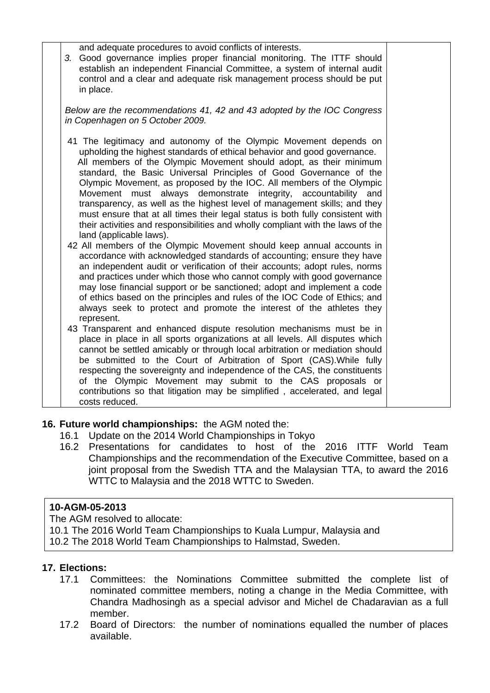| and adequate procedures to avoid conflicts of interests.<br>3. Good governance implies proper financial monitoring. The ITTF should<br>establish an independent Financial Committee, a system of internal audit<br>control and a clear and adequate risk management process should be put<br>in place.                                                                                                                                                                                                                                                                                                                                                                                                                                                                                                                                                                                                                                                                                                                                                                                                                                                                                                                                                       |  |
|--------------------------------------------------------------------------------------------------------------------------------------------------------------------------------------------------------------------------------------------------------------------------------------------------------------------------------------------------------------------------------------------------------------------------------------------------------------------------------------------------------------------------------------------------------------------------------------------------------------------------------------------------------------------------------------------------------------------------------------------------------------------------------------------------------------------------------------------------------------------------------------------------------------------------------------------------------------------------------------------------------------------------------------------------------------------------------------------------------------------------------------------------------------------------------------------------------------------------------------------------------------|--|
| Below are the recommendations 41, 42 and 43 adopted by the IOC Congress<br>in Copenhagen on 5 October 2009.                                                                                                                                                                                                                                                                                                                                                                                                                                                                                                                                                                                                                                                                                                                                                                                                                                                                                                                                                                                                                                                                                                                                                  |  |
| 41 The legitimacy and autonomy of the Olympic Movement depends on<br>upholding the highest standards of ethical behavior and good governance.<br>All members of the Olympic Movement should adopt, as their minimum<br>standard, the Basic Universal Principles of Good Governance of the<br>Olympic Movement, as proposed by the IOC. All members of the Olympic<br>Movement must always demonstrate integrity, accountability and<br>transparency, as well as the highest level of management skills; and they<br>must ensure that at all times their legal status is both fully consistent with<br>their activities and responsibilities and wholly compliant with the laws of the<br>land (applicable laws).<br>42 All members of the Olympic Movement should keep annual accounts in<br>accordance with acknowledged standards of accounting; ensure they have<br>an independent audit or verification of their accounts; adopt rules, norms<br>and practices under which those who cannot comply with good governance<br>may lose financial support or be sanctioned; adopt and implement a code<br>of ethics based on the principles and rules of the IOC Code of Ethics; and<br>always seek to protect and promote the interest of the athletes they |  |
| represent.<br>43 Transparent and enhanced dispute resolution mechanisms must be in<br>place in place in all sports organizations at all levels. All disputes which<br>cannot be settled amicably or through local arbitration or mediation should<br>be submitted to the Court of Arbitration of Sport (CAS). While fully<br>respecting the sovereignty and independence of the CAS, the constituents<br>of the Olympic Movement may submit to the CAS proposals or<br>contributions so that litigation may be simplified, accelerated, and legal<br>costs reduced.                                                                                                                                                                                                                                                                                                                                                                                                                                                                                                                                                                                                                                                                                          |  |

#### **16. Future world championships:** the AGM noted the:

- 16.1 Update on the 2014 World Championships in Tokyo
- 16.2 Presentations for candidates to host of the 2016 ITTF World Team Championships and the recommendation of the Executive Committee, based on a joint proposal from the Swedish TTA and the Malaysian TTA, to award the 2016 WTTC to Malaysia and the 2018 WTTC to Sweden.

#### **10-AGM-05-2013**

- The AGM resolved to allocate:
- 10.1 The 2016 World Team Championships to Kuala Lumpur, Malaysia and
- 10.2 The 2018 World Team Championships to Halmstad, Sweden.

#### **17. Elections:**

- 17.1 Committees: the Nominations Committee submitted the complete list of nominated committee members, noting a change in the Media Committee, with Chandra Madhosingh as a special advisor and Michel de Chadaravian as a full member.
- 17.2 Board of Directors: the number of nominations equalled the number of places available.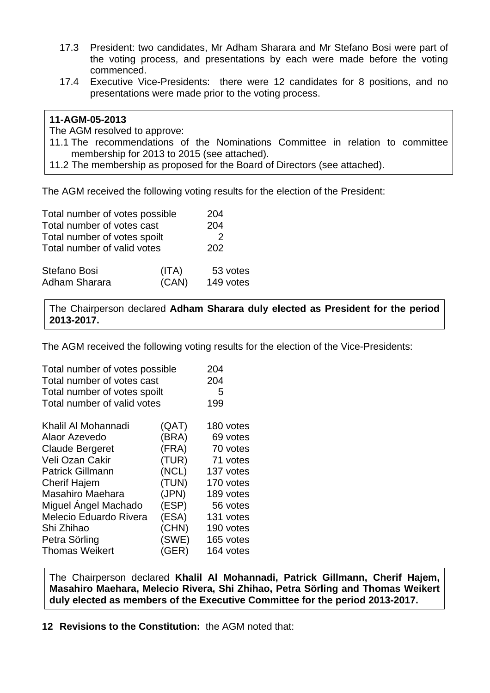- 17.3 President: two candidates, Mr Adham Sharara and Mr Stefano Bosi were part of the voting process, and presentations by each were made before the voting commenced.
- 17.4 Executive Vice-Presidents: there were 12 candidates for 8 positions, and no presentations were made prior to the voting process.

#### **11-AGM-05-2013**

The AGM resolved to approve:

11.1 The recommendations of the Nominations Committee in relation to committee membership for 2013 to 2015 (see attached).

11.2 The membership as proposed for the Board of Directors (see attached).

The AGM received the following voting results for the election of the President:

| Total number of votes possible | 204                   |
|--------------------------------|-----------------------|
| Total number of votes cast     |                       |
| Total number of votes spoilt   |                       |
| Total number of valid votes    | 202                   |
| (ITA)<br>(CAN)                 | 53 votes<br>149 votes |
|                                |                       |

The Chairperson declared **Adham Sharara duly elected as President for the period 2013-2017.**

The AGM received the following voting results for the election of the Vice-Presidents:

| Total number of votes possible |       | 204       |
|--------------------------------|-------|-----------|
| Total number of votes cast     |       | 204       |
| Total number of votes spoilt   |       | 5         |
| Total number of valid votes    |       | 199       |
| Khalil Al Mohannadi            | (QAT) | 180 votes |
| Alaor Azevedo                  | (BRA) | 69 votes  |
| <b>Claude Bergeret</b>         | (FRA) | 70 votes  |
| Veli Ozan Cakir                | (TUR) | 71 votes  |
| <b>Patrick Gillmann</b>        | (NCL) | 137 votes |
| <b>Cherif Hajem</b>            | (TUN) | 170 votes |
| Masahiro Maehara               | (JPN) | 189 votes |
| Miguel Angel Machado           | (ESP) | 56 votes  |
| Melecio Eduardo Rivera         | (ESA) | 131 votes |
| Shi Zhihao                     | (CHN) | 190 votes |
| Petra Sörling                  | (SWE) | 165 votes |
| <b>Thomas Weikert</b>          | (GER) | 164 votes |
|                                |       |           |

The Chairperson declared **Khalil Al Mohannadi, Patrick Gillmann, Cherif Hajem, Masahiro Maehara, Melecio Rivera, Shi Zhihao, Petra Sörling and Thomas Weikert duly elected as members of the Executive Committee for the period 2013-2017.** 

**12 Revisions to the Constitution:** the AGM noted that: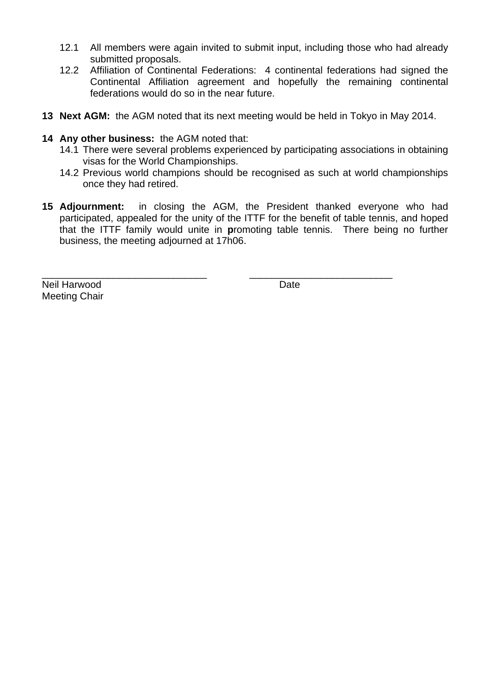- 12.1 All members were again invited to submit input, including those who had already submitted proposals.
- 12.2 Affiliation of Continental Federations: 4 continental federations had signed the Continental Affiliation agreement and hopefully the remaining continental federations would do so in the near future.
- **13 Next AGM:** the AGM noted that its next meeting would be held in Tokyo in May 2014.
- **14 Any other business:** the AGM noted that:
	- 14.1 There were several problems experienced by participating associations in obtaining visas for the World Championships.
	- 14.2 Previous world champions should be recognised as such at world championships once they had retired.
- **15 Adjournment:** in closing the AGM, the President thanked everyone who had participated, appealed for the unity of the ITTF for the benefit of table tennis, and hoped that the ITTF family would unite in **p**romoting table tennis. There being no further business, the meeting adjourned at 17h06.

\_\_\_\_\_\_\_\_\_\_\_\_\_\_\_\_\_\_\_\_\_\_\_\_\_\_\_\_\_\_ \_\_\_\_\_\_\_\_\_\_\_\_\_\_\_\_\_\_\_\_\_\_\_\_\_\_

Neil Harwood **Date** Meeting Chair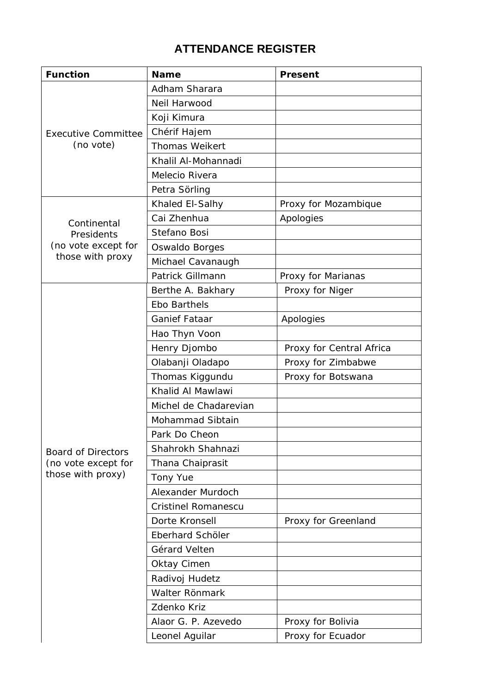# **ATTENDANCE REGISTER**

| <b>Function</b>            | <b>Name</b>                | <b>Present</b>           |
|----------------------------|----------------------------|--------------------------|
|                            | Adham Sharara              |                          |
|                            | Neil Harwood               |                          |
|                            | Koji Kimura                |                          |
| <b>Executive Committee</b> | Chérif Hajem               |                          |
| (no vote)                  | <b>Thomas Weikert</b>      |                          |
|                            | Khalil Al-Mohannadi        |                          |
|                            | Melecio Rivera             |                          |
|                            | Petra Sörling              |                          |
|                            | Khaled El-Salhy            | Proxy for Mozambique     |
| Continental                | Cai Zhenhua                | Apologies                |
| Presidents                 | Stefano Bosi               |                          |
| (no vote except for        | Oswaldo Borges             |                          |
| those with proxy           | Michael Cavanaugh          |                          |
|                            | Patrick Gillmann           | Proxy for Marianas       |
|                            | Berthe A. Bakhary          | Proxy for Niger          |
|                            | <b>Ebo Barthels</b>        |                          |
|                            | <b>Ganief Fataar</b>       | Apologies                |
|                            | Hao Thyn Voon              |                          |
|                            | Henry Djombo               | Proxy for Central Africa |
|                            | Olabanji Oladapo           | Proxy for Zimbabwe       |
|                            | Thomas Kiggundu            | Proxy for Botswana       |
|                            | Khalid Al Mawlawi          |                          |
|                            | Michel de Chadarevian      |                          |
|                            | Mohammad Sibtain           |                          |
|                            | Park Do Cheon              |                          |
| <b>Board of Directors</b>  | Shahrokh Shahnazi          |                          |
| (no vote except for        | Thana Chaiprasit           |                          |
| those with proxy)          | <b>Tony Yue</b>            |                          |
|                            | Alexander Murdoch          |                          |
|                            | <b>Cristinel Romanescu</b> |                          |
|                            | Dorte Kronsell             | Proxy for Greenland      |
|                            | Eberhard Schöler           |                          |
|                            | Gérard Velten              |                          |
|                            | Oktay Cimen                |                          |
|                            | Radivoj Hudetz             |                          |
|                            | Walter Rönmark             |                          |
|                            | Zdenko Kriz                |                          |
|                            | Alaor G. P. Azevedo        | Proxy for Bolivia        |
|                            | Leonel Aguilar             | Proxy for Ecuador        |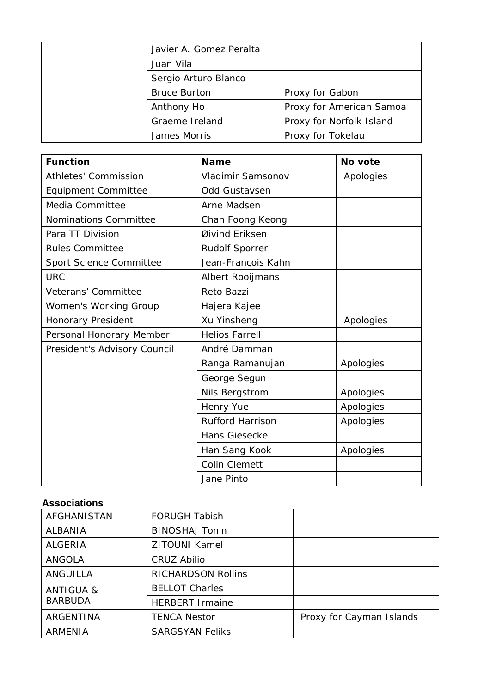| Javier A. Gomez Peralta |                          |
|-------------------------|--------------------------|
| Juan Vila               |                          |
| Sergio Arturo Blanco    |                          |
| <b>Bruce Burton</b>     | Proxy for Gabon          |
| Anthony Ho              | Proxy for American Samoa |
| Graeme Ireland          | Proxy for Norfolk Island |
| James Morris            | Proxy for Tokelau        |

| <b>Function</b>              | <b>Name</b>             | No vote   |
|------------------------------|-------------------------|-----------|
| <b>Athletes' Commission</b>  | Vladimir Samsonov       | Apologies |
| <b>Equipment Committee</b>   | <b>Odd Gustavsen</b>    |           |
| Media Committee              | Arne Madsen             |           |
| <b>Nominations Committee</b> | Chan Foong Keong        |           |
| Para TT Division             | Øivind Eriksen          |           |
| <b>Rules Committee</b>       | <b>Rudolf Sporrer</b>   |           |
| Sport Science Committee      | Jean-François Kahn      |           |
| <b>URC</b>                   | Albert Rooijmans        |           |
| Veterans' Committee          | Reto Bazzi              |           |
| Women's Working Group        | Hajera Kajee            |           |
| Honorary President           | Xu Yinsheng             | Apologies |
| Personal Honorary Member     | <b>Helios Farrell</b>   |           |
| President's Advisory Council | André Damman            |           |
|                              | Ranga Ramanujan         | Apologies |
|                              | George Segun            |           |
|                              | Nils Bergstrom          | Apologies |
|                              | Henry Yue               | Apologies |
|                              | <b>Rufford Harrison</b> | Apologies |
|                              | Hans Giesecke           |           |
|                              | Han Sang Kook           | Apologies |
|                              | <b>Colin Clemett</b>    |           |
|                              | Jane Pinto              |           |

## **Associations**

| AFGHANISTAN          | <b>FORUGH Tabish</b>      |                          |
|----------------------|---------------------------|--------------------------|
| <b>ALBANIA</b>       | <b>BINOSHAJ Tonin</b>     |                          |
| <b>ALGERIA</b>       | <b>ZITOUNI Kamel</b>      |                          |
| ANGOLA               | CRUZ Abilio               |                          |
| ANGUILLA             | <b>RICHARDSON Rollins</b> |                          |
| <b>ANTIGUA &amp;</b> | <b>BELLOT Charles</b>     |                          |
| <b>BARBUDA</b>       | <b>HERBERT Irmaine</b>    |                          |
| <b>ARGENTINA</b>     | <b>TENCA Nestor</b>       | Proxy for Cayman Islands |
| <b>ARMENIA</b>       | <b>SARGSYAN Feliks</b>    |                          |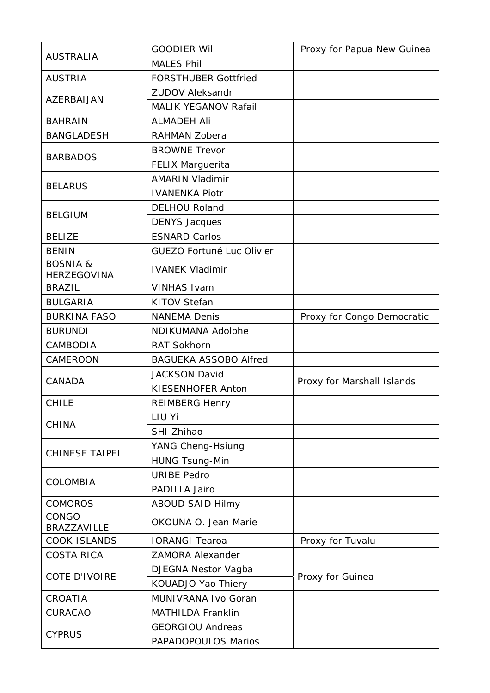|                                           | <b>GOODIER Will</b>          | Proxy for Papua New Guinea |  |
|-------------------------------------------|------------------------------|----------------------------|--|
| <b>AUSTRALIA</b>                          | <b>MALES Phil</b>            |                            |  |
| <b>AUSTRIA</b>                            | <b>FORSTHUBER Gottfried</b>  |                            |  |
|                                           | <b>ZUDOV Aleksandr</b>       |                            |  |
| AZERBAIJAN                                | <b>MALIK YEGANOV Rafail</b>  |                            |  |
| <b>BAHRAIN</b>                            | <b>ALMADEH Ali</b>           |                            |  |
| <b>BANGLADESH</b>                         | RAHMAN Zobera                |                            |  |
|                                           | <b>BROWNE Trevor</b>         |                            |  |
| <b>BARBADOS</b>                           | <b>FELIX Marguerita</b>      |                            |  |
|                                           | <b>AMARIN Vladimir</b>       |                            |  |
| <b>BELARUS</b>                            | <b>IVANENKA Piotr</b>        |                            |  |
|                                           | <b>DELHOU Roland</b>         |                            |  |
| <b>BELGIUM</b>                            | <b>DENYS Jacques</b>         |                            |  |
| <b>BELIZE</b>                             | <b>ESNARD Carlos</b>         |                            |  |
| <b>BENIN</b>                              | GUEZO Fortuné Luc Olivier    |                            |  |
| <b>BOSNIA &amp;</b><br><b>HERZEGOVINA</b> | <b>IVANEK Vladimir</b>       |                            |  |
| <b>BRAZIL</b>                             | <b>VINHAS Ivam</b>           |                            |  |
| <b>BULGARIA</b>                           | <b>KITOV Stefan</b>          |                            |  |
| <b>BURKINA FASO</b>                       | <b>NANEMA Denis</b>          | Proxy for Congo Democratic |  |
| <b>BURUNDI</b>                            | <b>NDIKUMANA Adolphe</b>     |                            |  |
| CAMBODIA                                  | <b>RAT Sokhorn</b>           |                            |  |
| CAMEROON                                  | <b>BAGUEKA ASSOBO Alfred</b> |                            |  |
|                                           | <b>JACKSON David</b>         |                            |  |
| CANADA                                    | KIESENHOFER Anton            | Proxy for Marshall Islands |  |
| <b>CHILE</b>                              | <b>REIMBERG Henry</b>        |                            |  |
| <b>CHINA</b>                              | LIU Yi                       |                            |  |
|                                           | SHI Zhihao                   |                            |  |
| <b>CHINESE TAIPEI</b>                     | YANG Cheng-Hsiung            |                            |  |
|                                           | <b>HUNG Tsung-Min</b>        |                            |  |
| <b>COLOMBIA</b>                           | <b>URIBE Pedro</b>           |                            |  |
|                                           | PADILLA Jairo                |                            |  |
| <b>COMOROS</b>                            | <b>ABOUD SAID Hilmy</b>      |                            |  |
| CONGO<br>BRAZZAVILLE                      | OKOUNA O. Jean Marie         |                            |  |
| <b>COOK ISLANDS</b>                       | <b>IORANGI Tearoa</b>        | Proxy for Tuvalu           |  |
| <b>COSTA RICA</b>                         | <b>ZAMORA Alexander</b>      |                            |  |
| <b>COTE D'IVOIRE</b>                      | DJEGNA Nestor Vagba          | Proxy for Guinea           |  |
|                                           | KOUADJO Yao Thiery           |                            |  |
| CROATIA                                   | MUNIVRANA Ivo Goran          |                            |  |
| <b>CURACAO</b>                            | <b>MATHILDA Franklin</b>     |                            |  |
| <b>CYPRUS</b>                             | <b>GEORGIOU Andreas</b>      |                            |  |
|                                           | PAPADOPOULOS Marios          |                            |  |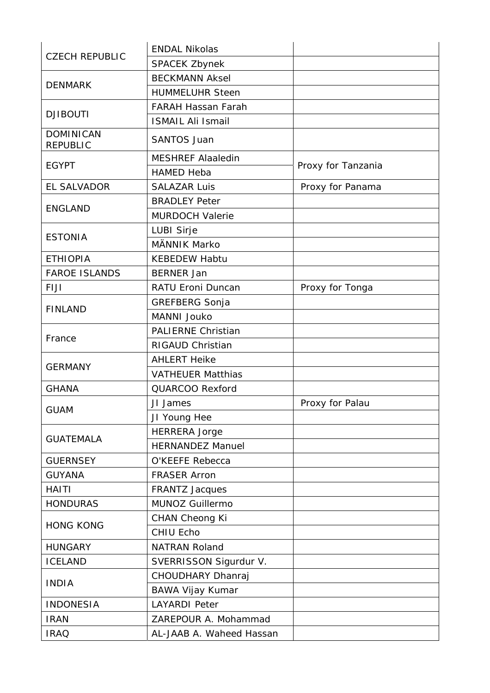| <b>CZECH REPUBLIC</b>               | <b>ENDAL Nikolas</b>      |                    |
|-------------------------------------|---------------------------|--------------------|
|                                     | <b>SPACEK Zbynek</b>      |                    |
| <b>DENMARK</b>                      | <b>BECKMANN Aksel</b>     |                    |
|                                     | <b>HUMMELUHR Steen</b>    |                    |
| <b>DJIBOUTI</b>                     | <b>FARAH Hassan Farah</b> |                    |
|                                     | <b>ISMAIL Ali Ismail</b>  |                    |
| <b>DOMINICAN</b><br><b>REPUBLIC</b> | <b>SANTOS Juan</b>        |                    |
|                                     | <b>MESHREF Alaaledin</b>  |                    |
| <b>EGYPT</b>                        | <b>HAMED Heba</b>         | Proxy for Tanzania |
| <b>EL SALVADOR</b>                  | <b>SALAZAR Luis</b>       | Proxy for Panama   |
|                                     | <b>BRADLEY Peter</b>      |                    |
| <b>ENGLAND</b>                      | <b>MURDOCH Valerie</b>    |                    |
|                                     | LUBI Sirje                |                    |
| <b>ESTONIA</b>                      | <b>MÄNNIK Marko</b>       |                    |
| <b>ETHIOPIA</b>                     | <b>KEBEDEW Habtu</b>      |                    |
| <b>FAROE ISLANDS</b>                | <b>BERNER Jan</b>         |                    |
| <b>FIJI</b>                         | RATU Eroni Duncan         | Proxy for Tonga    |
|                                     | GREFBERG Sonja            |                    |
| <b>FINLAND</b>                      | MANNI Jouko               |                    |
|                                     | <b>PALIERNE Christian</b> |                    |
| France                              | RIGAUD Christian          |                    |
|                                     | <b>AHLERT Heike</b>       |                    |
| <b>GERMANY</b>                      | <b>VATHEUER Matthias</b>  |                    |
| <b>GHANA</b>                        | QUARCOO Rexford           |                    |
| <b>GUAM</b>                         | JI James                  | Proxy for Palau    |
|                                     | JI Young Hee              |                    |
|                                     | <b>HERRERA Jorge</b>      |                    |
| <b>GUATEMALA</b>                    | <b>HERNANDEZ Manuel</b>   |                    |
| <b>GUERNSEY</b>                     | O'KEEFE Rebecca           |                    |
| <b>GUYANA</b>                       | <b>FRASER Arron</b>       |                    |
| <b>HAITI</b>                        | <b>FRANTZ Jacques</b>     |                    |
| <b>HONDURAS</b>                     | MUNOZ Guillermo           |                    |
| <b>HONG KONG</b>                    | CHAN Cheong Ki            |                    |
|                                     | CHIU Echo                 |                    |
| <b>HUNGARY</b>                      | <b>NATRAN Roland</b>      |                    |
| <b>ICELAND</b>                      | SVERRISSON Sigurdur V.    |                    |
| <b>INDIA</b>                        | CHOUDHARY Dhanraj         |                    |
|                                     | BAWA Vijay Kumar          |                    |
| <b>INDONESIA</b>                    | <b>LAYARDI Peter</b>      |                    |
| <b>IRAN</b>                         | ZAREPOUR A. Mohammad      |                    |
| <b>IRAQ</b>                         | AL-JAAB A. Waheed Hassan  |                    |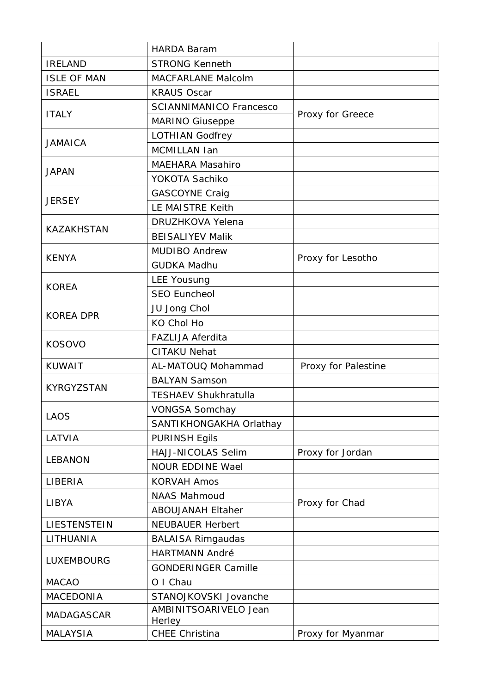|                    | <b>HARDA Baram</b>              |                     |  |
|--------------------|---------------------------------|---------------------|--|
| <b>IRELAND</b>     | <b>STRONG Kenneth</b>           |                     |  |
| <b>ISLE OF MAN</b> | MACFARLANE Malcolm              |                     |  |
| <b>ISRAEL</b>      | <b>KRAUS Oscar</b>              |                     |  |
| <b>ITALY</b>       | <b>SCIANNIMANICO Francesco</b>  |                     |  |
|                    | MARINO Giuseppe                 | Proxy for Greece    |  |
| <b>JAMAICA</b>     | <b>LOTHIAN Godfrey</b>          |                     |  |
|                    | MCMILLAN Ian                    |                     |  |
| <b>JAPAN</b>       | <b>MAEHARA Masahiro</b>         |                     |  |
|                    | YOKOTA Sachiko                  |                     |  |
| <b>JERSEY</b>      | <b>GASCOYNE Craig</b>           |                     |  |
|                    | LE MAISTRE Keith                |                     |  |
| <b>KAZAKHSTAN</b>  | <b>DRUZHKOVA Yelena</b>         |                     |  |
|                    | <b>BEISALIYEV Malik</b>         |                     |  |
| <b>KENYA</b>       | <b>MUDIBO Andrew</b>            | Proxy for Lesotho   |  |
|                    | <b>GUDKA Madhu</b>              |                     |  |
| <b>KOREA</b>       | <b>LEE Yousung</b>              |                     |  |
|                    | <b>SEO Euncheol</b>             |                     |  |
| <b>KOREA DPR</b>   | JU Jong Chol                    |                     |  |
|                    | <b>KO Chol Ho</b>               |                     |  |
| <b>KOSOVO</b>      | <b>FAZLIJA Aferdita</b>         |                     |  |
|                    | <b>CITAKU Nehat</b>             |                     |  |
| <b>KUWAIT</b>      | AL-MATOUQ Mohammad              | Proxy for Palestine |  |
| KYRGYZSTAN         | <b>BALYAN Samson</b>            |                     |  |
|                    | <b>TESHAEV Shukhratulla</b>     |                     |  |
| <b>LAOS</b>        | <b>VONGSA Somchay</b>           |                     |  |
|                    | SANTIKHONGAKHA Orlathay         |                     |  |
| LATVIA             | <b>PURINSH Egils</b>            |                     |  |
| <b>LEBANON</b>     | HAJJ-NICOLAS Selim              | Proxy for Jordan    |  |
|                    | <b>NOUR EDDINE Wael</b>         |                     |  |
| LIBERIA            | <b>KORVAH Amos</b>              |                     |  |
| <b>LIBYA</b>       | <b>NAAS Mahmoud</b>             | Proxy for Chad      |  |
|                    | <b>ABOUJANAH Eltaher</b>        |                     |  |
| LIESTENSTEIN       | <b>NEUBAUER Herbert</b>         |                     |  |
| LITHUANIA          | <b>BALAISA Rimgaudas</b>        |                     |  |
| LUXEMBOURG         | <b>HARTMANN André</b>           |                     |  |
|                    | <b>GONDERINGER Camille</b>      |                     |  |
| <b>MACAO</b>       | O I Chau                        |                     |  |
| <b>MACEDONIA</b>   | STANOJKOVSKI Jovanche           |                     |  |
| <b>MADAGASCAR</b>  | AMBINITSOARIVELO Jean<br>Herley |                     |  |
| <b>MALAYSIA</b>    | <b>CHEE Christina</b>           | Proxy for Myanmar   |  |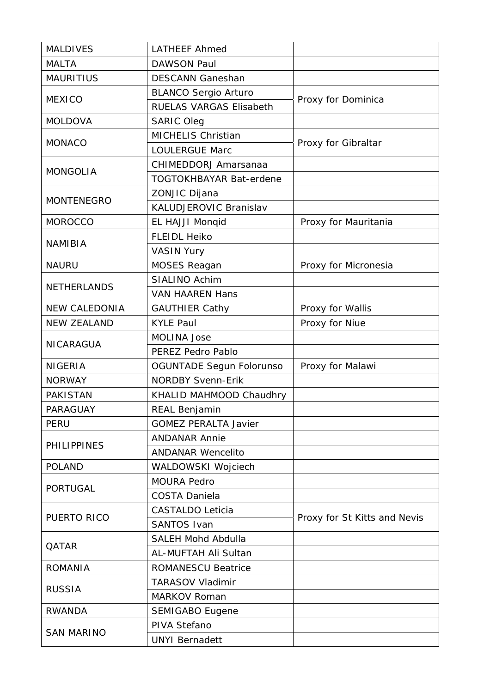| <b>MALDIVES</b>      | <b>LATHEEF Ahmed</b>           |                              |
|----------------------|--------------------------------|------------------------------|
| <b>MALTA</b>         | <b>DAWSON Paul</b>             |                              |
| <b>MAURITIUS</b>     | <b>DESCANN Ganeshan</b>        |                              |
| <b>MEXICO</b>        | <b>BLANCO Sergio Arturo</b>    |                              |
|                      | RUELAS VARGAS Elisabeth        | Proxy for Dominica           |
| <b>MOLDOVA</b>       | <b>SARIC Oleg</b>              |                              |
|                      | MICHELIS Christian             |                              |
| <b>MONACO</b>        | <b>LOULERGUE Marc</b>          | Proxy for Gibraltar          |
|                      | CHIMEDDORJ Amarsanaa           |                              |
| <b>MONGOLIA</b>      | <b>TOGTOKHBAYAR Bat-erdene</b> |                              |
|                      | ZONJIC Dijana                  |                              |
| <b>MONTENEGRO</b>    | <b>KALUDJEROVIC Branislav</b>  |                              |
| <b>MOROCCO</b>       | EL HAJJI Monqid                | Proxy for Mauritania         |
|                      | <b>FLEIDL Heiko</b>            |                              |
| <b>NAMIBIA</b>       | <b>VASIN Yury</b>              |                              |
| <b>NAURU</b>         | <b>MOSES Reagan</b>            | Proxy for Micronesia         |
|                      | <b>SIALINO Achim</b>           |                              |
| <b>NETHERLANDS</b>   | <b>VAN HAAREN Hans</b>         |                              |
| <b>NEW CALEDONIA</b> | <b>GAUTHIER Cathy</b>          | Proxy for Wallis             |
| <b>NEW ZEALAND</b>   | <b>KYLE Paul</b>               | Proxy for Niue               |
|                      | <b>MOLINA Jose</b>             |                              |
| NICARAGUA            | PEREZ Pedro Pablo              |                              |
| <b>NIGERIA</b>       | OGUNTADE Segun Folorunso       | Proxy for Malawi             |
| <b>NORWAY</b>        | <b>NORDBY Svenn-Erik</b>       |                              |
| <b>PAKISTAN</b>      | KHALID MAHMOOD Chaudhry        |                              |
| PARAGUAY             | REAL Benjamin                  |                              |
| <b>PERU</b>          | <b>GOMEZ PERALTA Javier</b>    |                              |
|                      | <b>ANDANAR Annie</b>           |                              |
| <b>PHILIPPINES</b>   | <b>ANDANAR Wencelito</b>       |                              |
| <b>POLAND</b>        | WALDOWSKI Wojciech             |                              |
| <b>PORTUGAL</b>      | <b>MOURA Pedro</b>             |                              |
|                      | <b>COSTA Daniela</b>           |                              |
|                      | <b>CASTALDO Leticia</b>        |                              |
| PUERTO RICO          | <b>SANTOS Ivan</b>             | Proxy for St Kitts and Nevis |
| QATAR                | <b>SALEH Mohd Abdulla</b>      |                              |
|                      | AL-MUFTAH Ali Sultan           |                              |
| <b>ROMANIA</b>       | <b>ROMANESCU Beatrice</b>      |                              |
| <b>RUSSIA</b>        | <b>TARASOV Vladimir</b>        |                              |
|                      | <b>MARKOV Roman</b>            |                              |
| <b>RWANDA</b>        | <b>SEMIGABO Eugene</b>         |                              |
|                      | PIVA Stefano                   |                              |
| <b>SAN MARINO</b>    | <b>UNYI Bernadett</b>          |                              |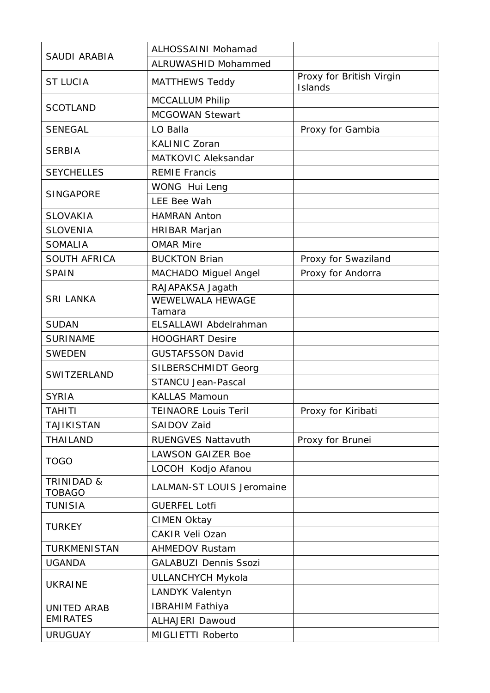| <b>SAUDI ARABIA</b>                    | ALHOSSAINI Mohamad           |                                     |
|----------------------------------------|------------------------------|-------------------------------------|
|                                        | <b>ALRUWASHID Mohammed</b>   |                                     |
| <b>ST LUCIA</b>                        | <b>MATTHEWS Teddy</b>        | Proxy for British Virgin<br>Islands |
|                                        | <b>MCCALLUM Philip</b>       |                                     |
| <b>SCOTLAND</b>                        | <b>MCGOWAN Stewart</b>       |                                     |
| <b>SENEGAL</b>                         | LO Balla                     | Proxy for Gambia                    |
|                                        | <b>KALINIC Zoran</b>         |                                     |
| <b>SERBIA</b>                          | <b>MATKOVIC Aleksandar</b>   |                                     |
| <b>SEYCHELLES</b>                      | <b>REMIE Francis</b>         |                                     |
|                                        | WONG Hui Leng                |                                     |
| <b>SINGAPORE</b>                       | LEE Bee Wah                  |                                     |
| <b>SLOVAKIA</b>                        | <b>HAMRAN Anton</b>          |                                     |
| <b>SLOVENIA</b>                        | HRIBAR Marjan                |                                     |
| <b>SOMALIA</b>                         | <b>OMAR Mire</b>             |                                     |
| SOUTH AFRICA                           | <b>BUCKTON Brian</b>         | Proxy for Swaziland                 |
| <b>SPAIN</b>                           | MACHADO Miguel Angel         | Proxy for Andorra                   |
|                                        | RAJAPAKSA Jagath             |                                     |
| <b>SRI LANKA</b>                       | WEWELWALA HEWAGE             |                                     |
|                                        | Tamara                       |                                     |
| <b>SUDAN</b>                           | ELSALLAWI Abdelrahman        |                                     |
| <b>SURINAME</b>                        | <b>HOOGHART Desire</b>       |                                     |
| <b>SWEDEN</b>                          | <b>GUSTAFSSON David</b>      |                                     |
| SWITZERLAND                            | SILBERSCHMIDT Georg          |                                     |
|                                        | <b>STANCU Jean-Pascal</b>    |                                     |
| <b>SYRIA</b>                           | <b>KALLAS Mamoun</b>         |                                     |
| <b>TAHITI</b>                          | <b>TEINAORE Louis Teril</b>  | Proxy for Kiribati                  |
| TAJIKISTAN                             | SAIDOV Zaid                  |                                     |
| <b>THAILAND</b>                        | <b>RUENGVES Nattavuth</b>    | Proxy for Brunei                    |
| <b>TOGO</b>                            | <b>LAWSON GAIZER Boe</b>     |                                     |
|                                        | LOCOH Kodjo Afanou           |                                     |
| <b>TRINIDAD &amp;</b><br><b>TOBAGO</b> | LALMAN-ST LOUIS Jeromaine    |                                     |
| <b>TUNISIA</b>                         | <b>GUERFEL Lotfi</b>         |                                     |
| <b>TURKEY</b>                          | <b>CIMEN Oktay</b>           |                                     |
|                                        | <b>CAKIR Veli Ozan</b>       |                                     |
| TURKMENISTAN                           | <b>AHMEDOV Rustam</b>        |                                     |
| <b>UGANDA</b>                          | <b>GALABUZI Dennis Ssozi</b> |                                     |
| <b>UKRAINE</b>                         | <b>ULLANCHYCH Mykola</b>     |                                     |
|                                        | LANDYK Valentyn              |                                     |
| UNITED ARAB                            | <b>IBRAHIM Fathiya</b>       |                                     |
| <b>EMIRATES</b>                        | <b>ALHAJERI Dawoud</b>       |                                     |
| <b>URUGUAY</b>                         | MIGLIETTI Roberto            |                                     |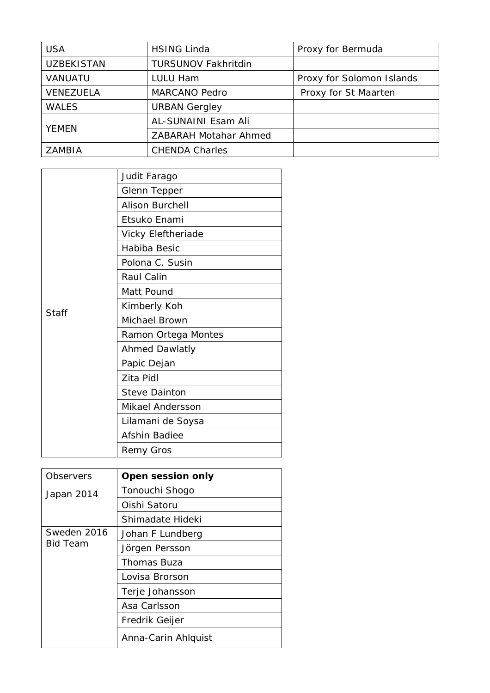| <b>USA</b>        | <b>HSING Linda</b>         | Proxy for Bermuda         |
|-------------------|----------------------------|---------------------------|
| <b>UZBEKISTAN</b> | <b>TURSUNOV Fakhritdin</b> |                           |
| <b>VANUATU</b>    | LULU Ham                   | Proxy for Solomon Islands |
| VENEZUELA         | <b>MARCANO Pedro</b>       | Proxy for St Maarten      |
| <b>WALES</b>      | <b>URBAN Gergley</b>       |                           |
| <b>YEMEN</b>      | AL-SUNAINI Esam Ali        |                           |
|                   | ZABARAH Motahar Ahmed      |                           |
| <b>ZAMBIA</b>     | <b>CHENDA Charles</b>      |                           |

|       | Judit Farago              |
|-------|---------------------------|
|       | <b>Glenn Tepper</b>       |
|       | <b>Alison Burchell</b>    |
|       | Etsuko Enami              |
|       | <b>Vicky Eleftheriade</b> |
|       | Habiba Besic              |
|       | Polona C. Susin           |
|       | Raul Calin                |
|       | Matt Pound                |
|       | Kimberly Koh              |
| Staff | Michael Brown             |
|       | Ramon Ortega Montes       |
|       | <b>Ahmed Dawlatly</b>     |
|       | Papic Dejan               |
|       | Zita Pidl                 |
|       | <b>Steve Dainton</b>      |
|       | <b>Mikael Andersson</b>   |
|       | Lilamani de Soysa         |
|       | <b>Afshin Badiee</b>      |
|       | <b>Remy Gros</b>          |

| Observers                      | Open session only   |
|--------------------------------|---------------------|
| Japan 2014                     | Tonouchi Shogo      |
|                                | Oishi Satoru        |
|                                | Shimadate Hideki    |
| Sweden 2016<br><b>Bid Team</b> | Johan F Lundberg    |
|                                | Jörgen Persson      |
|                                | Thomas Buza         |
|                                | Lovisa Brorson      |
|                                | Terje Johansson     |
|                                | Asa Carlsson        |
|                                | Fredrik Geijer      |
|                                | Anna-Carin Ahlquist |